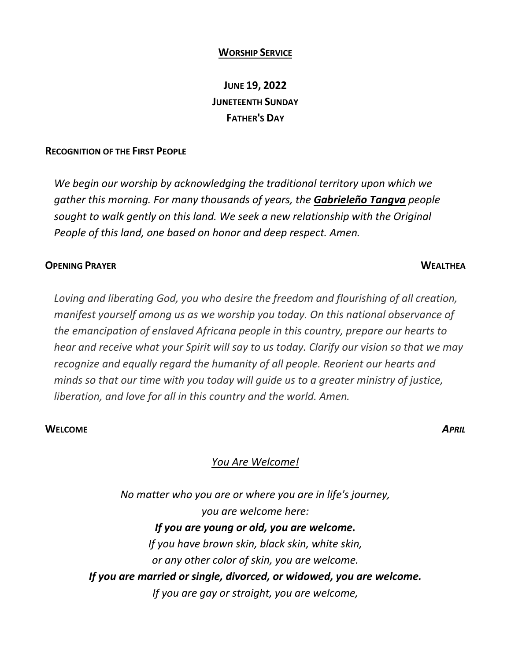### **WORSHIP SERVICE**

# **JUNE 19, 2022 JUNETEENTH SUNDAY FATHER'S DAY**

### **RECOGNITION OF THE FIRST PEOPLE**

*We begin our worship by acknowledging the traditional territory upon which we gather this morning. For many thousands of years, the Gabrieleño Tangva people sought to walk gently on this land. We seek a new relationship with the Original People of this land, one based on honor and deep respect. Amen.* 

### **OPENING PRAYER WEALTHEA**

*Loving and liberating God, you who desire the freedom and flourishing of all creation, manifest yourself among us as we worship you today. On this national observance of the emancipation of enslaved Africana people in this country, prepare our hearts to hear and receive what your Spirit will say to us today. Clarify our vision so that we may recognize and equally regard the humanity of all people. Reorient our hearts and minds so that our time with you today will guide us to a greater ministry of justice, liberation, and love for all in this country and the world. Amen.*

### **WELCOME** *APRIL*

## *You Are Welcome!*

*No matter who you are or where you are in life's journey, you are welcome here: If you are young or old, you are welcome. If you have brown skin, black skin, white skin, or any other color of skin, you are welcome. If you are married or single, divorced, or widowed, you are welcome. If you are gay or straight, you are welcome,*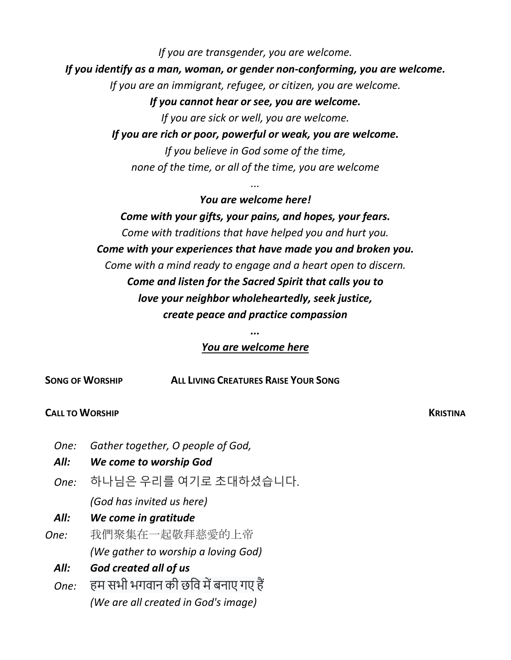*If you are transgender, you are welcome. If you identify as a man, woman, or gender non-conforming, you are welcome. If you are an immigrant, refugee, or citizen, you are welcome. If you cannot hear or see, you are welcome. If you are sick or well, you are welcome. If you are rich or poor, powerful or weak, you are welcome.*

*If you believe in God some of the time, none of the time, or all of the time, you are welcome*

*...*

*You are welcome here! Come with your gifts, your pains, and hopes, your fears. Come with traditions that have helped you and hurt you. Come with your experiences that have made you and broken you. Come with a mind ready to engage and a heart open to discern. Come and listen for the Sacred Spirit that calls you to love your neighbor wholeheartedly, seek justice, create peace and practice compassion*

# *You are welcome here*

**SONG OF WORSHIP ALL LIVING CREATURES RAISE YOUR SONG** 

## **CALL TO WORSHIP KRISTINA**

- *One: Gather together, O people of God,*
- *All: We come to worship God*
- *One:* 하나님은 우리를 여기로 초대하셨습니다.  *(God has invited us here)*
- *All: We come in gratitude*
- *One:* 我們聚集在一起敬拜慈愛的上帝  *(We gather to worship a loving God)*
	- *All: God created all of us*
	- *One:* हम सभी भगवान की छवि में बनाए गए हैं  *(We are all created in God's image)*

*...*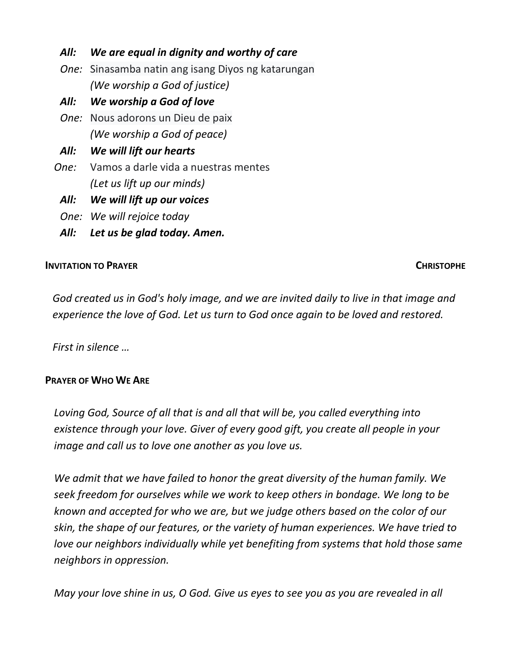# *All: We are equal in dignity and worthy of care*

- *One:* Sinasamba natin ang isang Diyos ng katarungan  *(We worship a God of justice)*
- *All: We worship a God of love*
- *One:* Nous adorons un Dieu de paix  *(We worship a God of peace)*
- *All: We will lift our hearts*
- *One:* Vamos a darle vida a nuestras mentes  *(Let us lift up our minds)*
- *All: We will lift up our voices*
- *One: We will rejoice today*
- *All: Let us be glad today. Amen.*

# **INVITATION TO PRAYER CHRISTOPHE**

*God created us in God's holy image, and we are invited daily to live in that image and experience the love of God. Let us turn to God once again to be loved and restored.* 

*First in silence …* 

# **PRAYER OF WHO WE ARE**

*Loving God, Source of all that is and all that will be, you called everything into existence through your love. Giver of every good gift, you create all people in your image and call us to love one another as you love us.* 

*We admit that we have failed to honor the great diversity of the human family. We seek freedom for ourselves while we work to keep others in bondage. We long to be known and accepted for who we are, but we judge others based on the color of our skin, the shape of our features, or the variety of human experiences. We have tried to love our neighbors individually while yet benefiting from systems that hold those same neighbors in oppression.* 

*May your love shine in us, O God. Give us eyes to see you as you are revealed in all*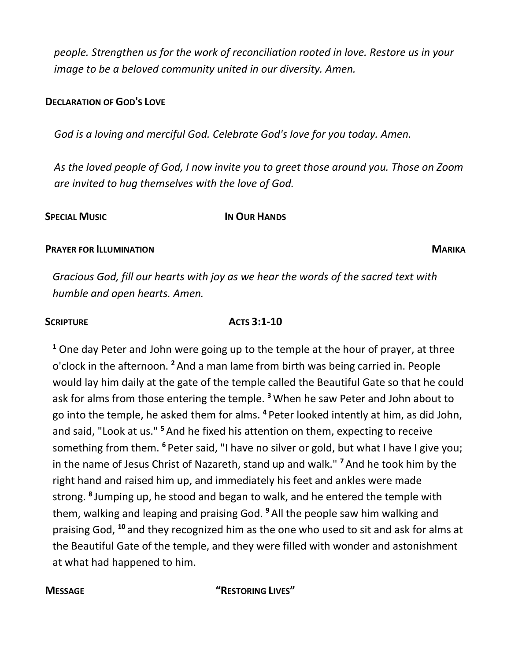*people. Strengthen us for the work of reconciliation rooted in love. Restore us in your image to be a beloved community united in our diversity. Amen.* 

## **DECLARATION OF GOD'S LOVE**

*God is a loving and merciful God. Celebrate God's love for you today. Amen.* 

*As the loved people of God, I now invite you to greet those around you. Those on Zoom are invited to hug themselves with the love of God.* 

## **SPECIAL MUSIC IN OUR HANDS**

## **PRAYER FOR ILLUMINATION MARIKA**

*Gracious God, fill our hearts with joy as we hear the words of the sacred text with humble and open hearts. Amen.* 

## **SCRIPTURE ACTS 3:1-10**

**<sup>1</sup>** One day Peter and John were going up to the temple at the hour of prayer, at three o'clock in the afternoon. **<sup>2</sup>**And a man lame from birth was being carried in. People would lay him daily at the gate of the temple called the Beautiful Gate so that he could ask for alms from those entering the temple. **<sup>3</sup>**When he saw Peter and John about to go into the temple, he asked them for alms. **<sup>4</sup>**Peter looked intently at him, as did John, and said, "Look at us." **<sup>5</sup>**And he fixed his attention on them, expecting to receive something from them. <sup>6</sup> Peter said, "I have no silver or gold, but what I have I give you; in the name of Jesus Christ of Nazareth, stand up and walk." **<sup>7</sup>**And he took him by the right hand and raised him up, and immediately his feet and ankles were made strong. **<sup>8</sup>**Jumping up, he stood and began to walk, and he entered the temple with them, walking and leaping and praising God. **<sup>9</sup>**All the people saw him walking and praising God, **<sup>10</sup>**and they recognized him as the one who used to sit and ask for alms at the Beautiful Gate of the temple, and they were filled with wonder and astonishment at what had happened to him.

## **MESSAGE "RESTORING LIVES"**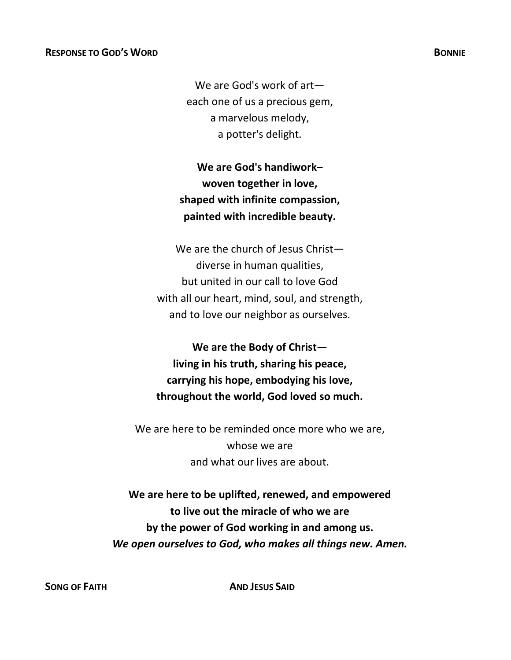We are God's work of art each one of us a precious gem, a marvelous melody, a potter's delight.

**We are God's handiwork– woven together in love, shaped with infinite compassion, painted with incredible beauty.**

We are the church of Jesus Christ diverse in human qualities, but united in our call to love God with all our heart, mind, soul, and strength, and to love our neighbor as ourselves.

**We are the Body of Christ living in his truth, sharing his peace, carrying his hope, embodying his love, throughout the world, God loved so much.**

We are here to be reminded once more who we are, whose we are and what our lives are about.

**We are here to be uplifted, renewed, and empowered to live out the miracle of who we are by the power of God working in and among us.** *We open ourselves to God, who makes all things new. Amen.* 

**SONG OF FAITH AND JESUS SAID**